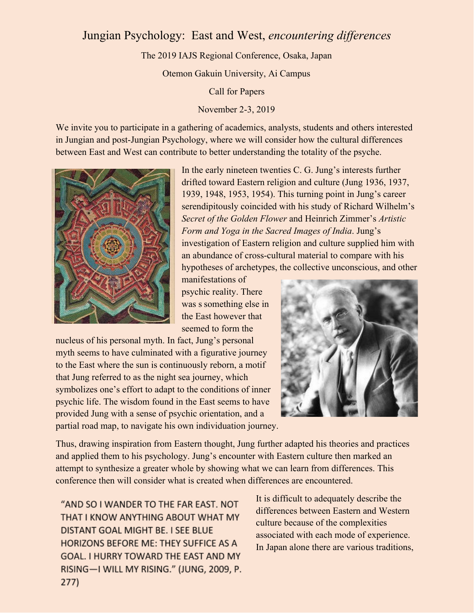## Jungian Psychology: East and West, *encountering differences*

The 2019 IAJS Regional Conference, Osaka, Japan

Otemon Gakuin University, Ai Campus

Call for Papers

November 2-3, 2019

We invite you to participate in a gathering of academics, analysts, students and others interested in Jungian and post-Jungian Psychology, where we will consider how the cultural differences between East and West can contribute to better understanding the totality of the psyche.



In the early nineteen twenties C. G. Jung's interests further drifted toward Eastern religion and culture (Jung 1936, 1937, 1939, 1948, 1953, 1954). This turning point in Jung's career serendipitously coincided with his study of Richard Wilhelm's *Secret of the Golden Flower* and Heinrich Zimmer's *Artistic Form and Yoga in the Sacred Images of India*. Jung's investigation of Eastern religion and culture supplied him with an abundance of cross-cultural material to compare with his hypotheses of archetypes, the collective unconscious, and other

manifestations of psychic reality. There was s something else in the East however that seemed to form the

nucleus of his personal myth. In fact, Jung's personal myth seems to have culminated with a figurative journey to the East where the sun is continuously reborn, a motif that Jung referred to as the night sea journey, which symbolizes one's effort to adapt to the conditions of inner psychic life. The wisdom found in the East seems to have provided Jung with a sense of psychic orientation, and a partial road map, to navigate his own individuation journey.



Thus, drawing inspiration from Eastern thought, Jung further adapted his theories and practices and applied them to his psychology. Jung's encounter with Eastern culture then marked an attempt to synthesize a greater whole by showing what we can learn from differences. This conference then will consider what is created when differences are encountered.

"AND SO I WANDER TO THE FAR EAST. NOT THAT I KNOW ANYTHING ABOUT WHAT MY DISTANT GOAL MIGHT BE. I SEE BLUE HORIZONS BEFORE ME: THEY SUFFICE AS A GOAL. I HURRY TOWARD THE EAST AND MY RISING-I WILL MY RISING." (JUNG, 2009, P.  $277)$ 

It is difficult to adequately describe the differences between Eastern and Western culture because of the complexities associated with each mode of experience. In Japan alone there are various traditions,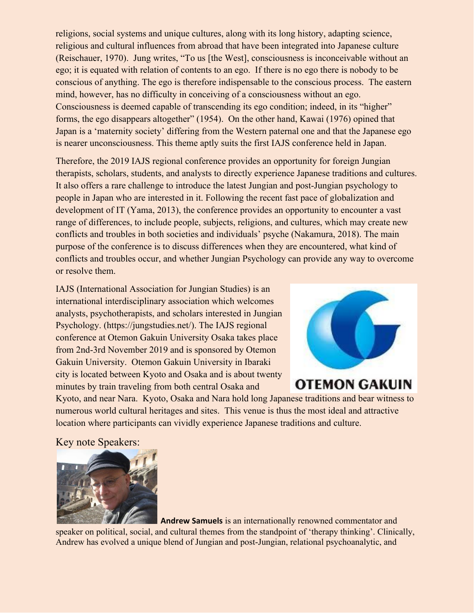religions, social systems and unique cultures, along with its long history, adapting science, religious and cultural influences from abroad that have been integrated into Japanese culture (Reischauer, 1970). Jung writes, "To us [the West], consciousness is inconceivable without an ego; it is equated with relation of contents to an ego. If there is no ego there is nobody to be conscious of anything. The ego is therefore indispensable to the conscious process. The eastern mind, however, has no difficulty in conceiving of a consciousness without an ego. Consciousness is deemed capable of transcending its ego condition; indeed, in its "higher" forms, the ego disappears altogether" (1954). On the other hand, Kawai (1976) opined that Japan is a 'maternity society' differing from the Western paternal one and that the Japanese ego is nearer unconsciousness. This theme aptly suits the first IAJS conference held in Japan.

Therefore, the 2019 IAJS regional conference provides an opportunity for foreign Jungian therapists, scholars, students, and analysts to directly experience Japanese traditions and cultures. It also offers a rare challenge to introduce the latest Jungian and post-Jungian psychology to people in Japan who are interested in it. Following the recent fast pace of globalization and development of IT (Yama, 2013), the conference provides an opportunity to encounter a vast range of differences, to include people, subjects, religions, and cultures, which may create new conflicts and troubles in both societies and individuals' psyche (Nakamura, 2018). The main purpose of the conference is to discuss differences when they are encountered, what kind of conflicts and troubles occur, and whether Jungian Psychology can provide any way to overcome or resolve them.

IAJS (International Association for Jungian Studies) is an international interdisciplinary association which welcomes analysts, psychotherapists, and scholars interested in Jungian Psychology. (https://jungstudies.net/). The IAJS regional conference at Otemon Gakuin University Osaka takes place from 2nd-3rd November 2019 and is sponsored by Otemon Gakuin University. Otemon Gakuin University in Ibaraki city is located between Kyoto and Osaka and is about twenty minutes by train traveling from both central Osaka and



# **OTEMON GAKUIN**

Kyoto, and near Nara. Kyoto, Osaka and Nara hold long Japanese traditions and bear witness to numerous world cultural heritages and sites. This venue is thus the most ideal and attractive location where participants can vividly experience Japanese traditions and culture.

Key note Speakers:



**Andrew Samuels** is an internationally renowned commentator and speaker on political, social, and cultural themes from the standpoint of 'therapy thinking'. Clinically, Andrew has evolved a unique blend of Jungian and post-Jungian, relational psychoanalytic, and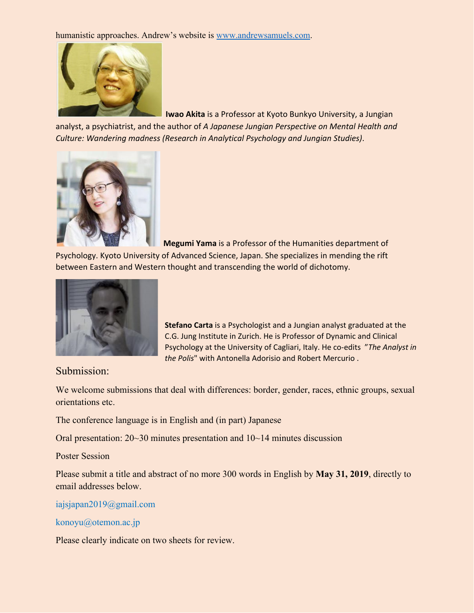humanistic approaches. Andrew's website is [www.andrewsamuels.com](http://www.andrewsamuels.com/).



**Iwao Akita** is a Professor at Kyoto Bunkyo University, a Jungian

analyst, a psychiatrist, and the author of *A Japanese Jungian Perspective on Mental Health and Culture: Wandering madness (Research in Analytical Psychology and Jungian Studies)*.



**Megumi Yama** is a Professor of the Humanities department of Psychology. Kyoto University of Advanced Science, Japan. She specializes in mending the rift between Eastern and Western thought and transcending the world of dichotomy.



**Stefano Carta** is a Psychologist and a Jungian analyst graduated at the C.G. Jung Institute in Zurich. He is Professor of Dynamic and Clinical Psychology at the University of Cagliari, Italy. He co-edits "*The Analyst in the Polis*" with Antonella Adorisio and Robert Mercurio .

Submission:

We welcome submissions that deal with differences: border, gender, races, ethnic groups, sexual orientations etc.

The conference language is in English and (in part) Japanese

Oral presentation: 20~30 minutes presentation and 10~14 minutes discussion

Poster Session

Please submit a title and abstract of no more 300 words in English by **May 31, 2019**, directly to email addresses below.

iajsjapan2019@gmail.com

konoyu@otemon.ac.jp

Please clearly indicate on two sheets for review.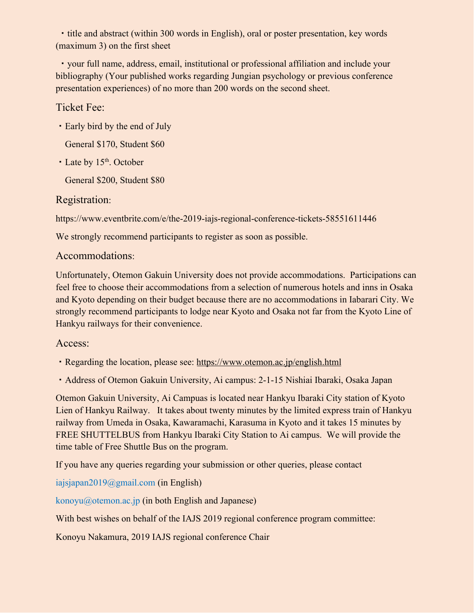・title and abstract (within 300 words in English), oral or poster presentation, key words (maximum 3) on the first sheet

・your full name, address, email, institutional or professional affiliation and include your bibliography (Your published works regarding Jungian psychology or previous conference presentation experiences) of no more than 200 words on the second sheet.

#### Ticket Fee:

- ・Early bird by the end of July
	- General \$170, Student \$60
- Late by 15<sup>th</sup>. October

General \$200, Student \$80

### Registration:

https://www.eventbrite.com/e/the-2019-iajs-regional-conference-tickets-58551611446

We strongly recommend participants to register as soon as possible.

### Accommodations:

Unfortunately, Otemon Gakuin University does not provide accommodations. Participations can feel free to choose their accommodations from a selection of numerous hotels and inns in Osaka and Kyoto depending on their budget because there are no accommodations in Iabarari City. We strongly recommend participants to lodge near Kyoto and Osaka not far from the Kyoto Line of Hankyu railways for their convenience.

### Access:

- ・Regarding the location, please see: <https://www.otemon.ac.jp/english.html>
- ・Address of Otemon Gakuin University, Ai campus: 2-1-15 Nishiai Ibaraki, Osaka Japan

Otemon Gakuin University, Ai Campuas is located near Hankyu Ibaraki City station of Kyoto Lien of Hankyu Railway. It takes about twenty minutes by the limited express train of Hankyu railway from Umeda in Osaka, Kawaramachi, Karasuma in Kyoto and it takes 15 minutes by FREE SHUTTELBUS from Hankyu Ibaraki City Station to Ai campus. We will provide the time table of Free Shuttle Bus on the program.

If you have any queries regarding your submission or other queries, please contact

iajsjapan2019@gmail.com (in English)

konoyu@otemon.ac.jp (in both English and Japanese)

With best wishes on behalf of the IAJS 2019 regional conference program committee:

Konoyu Nakamura, 2019 IAJS regional conference Chair